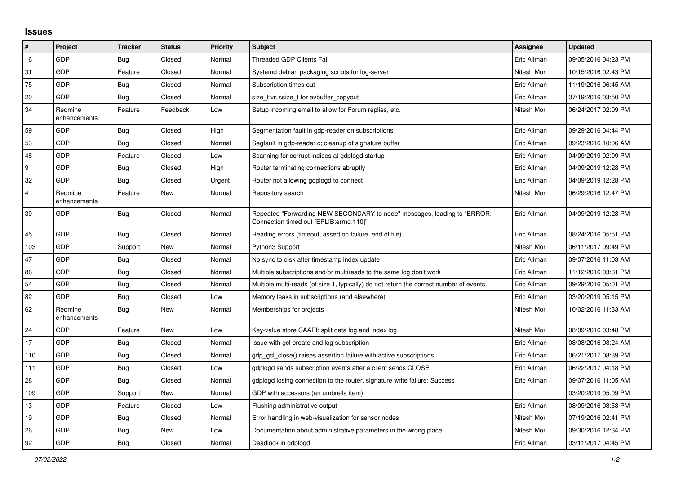## **Issues**

| $\pmb{\#}$              | Project                 | <b>Tracker</b> | <b>Status</b> | <b>Priority</b> | <b>Subject</b>                                                                                                      | Assignee    | <b>Updated</b>      |
|-------------------------|-------------------------|----------------|---------------|-----------------|---------------------------------------------------------------------------------------------------------------------|-------------|---------------------|
| 16                      | GDP                     | <b>Bug</b>     | Closed        | Normal          | Threaded GDP Clients Fail                                                                                           | Eric Allman | 09/05/2016 04:23 PM |
| 31                      | GDP                     | Feature        | Closed        | Normal          | Systemd debian packaging scripts for log-server                                                                     | Nitesh Mor  | 10/15/2016 02:43 PM |
| 75                      | GDP                     | <b>Bug</b>     | Closed        | Normal          | Subscription times out                                                                                              | Eric Allman | 11/19/2016 06:45 AM |
| 20                      | GDP                     | <b>Bug</b>     | Closed        | Normal          | size t vs ssize t for evbuffer copyout                                                                              | Eric Allman | 07/19/2016 03:50 PM |
| 34                      | Redmine<br>enhancements | Feature        | Feedback      | Low             | Setup incoming email to allow for Forum replies, etc.                                                               | Nitesh Mor  | 06/24/2017 02:09 PM |
| 59                      | GDP                     | <b>Bug</b>     | Closed        | High            | Segmentation fault in gdp-reader on subscriptions                                                                   | Eric Allman | 09/29/2016 04:44 PM |
| 53                      | GDP                     | <b>Bug</b>     | Closed        | Normal          | Segfault in gdp-reader.c; cleanup of signature buffer                                                               | Eric Allman | 09/23/2016 10:06 AM |
| 48                      | GDP                     | Feature        | Closed        | Low             | Scanning for corrupt indices at gdplogd startup                                                                     | Eric Allman | 04/09/2019 02:09 PM |
| 9                       | GDP                     | <b>Bug</b>     | Closed        | High            | Router terminating connections abruptly                                                                             | Eric Allman | 04/09/2019 12:28 PM |
| 32                      | GDP                     | Bug            | Closed        | Urgent          | Router not allowing gdplogd to connect                                                                              | Eric Allman | 04/09/2019 12:28 PM |
| $\overline{\mathbf{A}}$ | Redmine<br>enhancements | Feature        | New           | Normal          | Repository search                                                                                                   | Nitesh Mor  | 06/29/2016 12:47 PM |
| 39                      | GDP                     | <b>Bug</b>     | Closed        | Normal          | Repeated "Forwarding NEW SECONDARY to node" messages, leading to "ERROR:<br>Connection timed out [EPLIB:errno:110]" | Eric Allman | 04/09/2019 12:28 PM |
| 45                      | GDP                     | <b>Bug</b>     | Closed        | Normal          | Reading errors (timeout, assertion failure, end of file)                                                            | Eric Allman | 08/24/2016 05:51 PM |
| 103                     | GDP                     | Support        | New           | Normal          | Python3 Support                                                                                                     | Nitesh Mor  | 06/11/2017 09:49 PM |
| 47                      | GDP                     | <b>Bug</b>     | Closed        | Normal          | No sync to disk after timestamp index update                                                                        | Eric Allman | 09/07/2016 11:03 AM |
| 86                      | GDP                     | <b>Bug</b>     | Closed        | Normal          | Multiple subscriptions and/or multireads to the same log don't work                                                 | Eric Allman | 11/12/2016 03:31 PM |
| 54                      | GDP                     | <b>Bug</b>     | Closed        | Normal          | Multiple multi-reads (of size 1, typically) do not return the correct number of events.                             | Eric Allman | 09/29/2016 05:01 PM |
| 82                      | GDP                     | <b>Bug</b>     | Closed        | Low             | Memory leaks in subscriptions (and elsewhere)                                                                       | Eric Allman | 03/20/2019 05:15 PM |
| 62                      | Redmine<br>enhancements | <b>Bug</b>     | New           | Normal          | Memberships for projects                                                                                            | Nitesh Mor  | 10/02/2016 11:33 AM |
| 24                      | GDP                     | Feature        | New           | Low             | Key-value store CAAPI: split data log and index log                                                                 | Nitesh Mor  | 08/09/2016 03:48 PM |
| 17                      | GDP                     | <b>Bug</b>     | Closed        | Normal          | Issue with gcl-create and log subscription                                                                          | Eric Allman | 08/08/2016 08:24 AM |
| 110                     | GDP                     | <b>Bug</b>     | Closed        | Normal          | gdp gcl close() raises assertion failure with active subscriptions                                                  | Eric Allman | 06/21/2017 08:39 PM |
| 111                     | GDP                     | Bug            | Closed        | Low             | gdplogd sends subscription events after a client sends CLOSE                                                        | Eric Allman | 06/22/2017 04:18 PM |
| 28                      | GDP                     | <b>Bug</b>     | Closed        | Normal          | gdplogd losing connection to the router, signature write failure: Success                                           | Eric Allman | 09/07/2016 11:05 AM |
| 109                     | GDP                     | Support        | New           | Normal          | GDP with accessors (an umbrella item)                                                                               |             | 03/20/2019 05:09 PM |
| 13                      | GDP                     | Feature        | Closed        | Low             | Flushing administrative output                                                                                      | Eric Allman | 08/09/2016 03:53 PM |
| 19                      | GDP                     | Bug            | Closed        | Normal          | Error handling in web-visualization for sensor nodes                                                                | Nitesh Mor  | 07/19/2016 02:41 PM |
| 26                      | GDP                     | Bug            | New           | Low             | Documentation about administrative parameters in the wrong place                                                    | Nitesh Mor  | 09/30/2016 12:34 PM |
| 92                      | GDP                     | Bug            | Closed        | Normal          | Deadlock in gdplogd                                                                                                 | Eric Allman | 03/11/2017 04:45 PM |